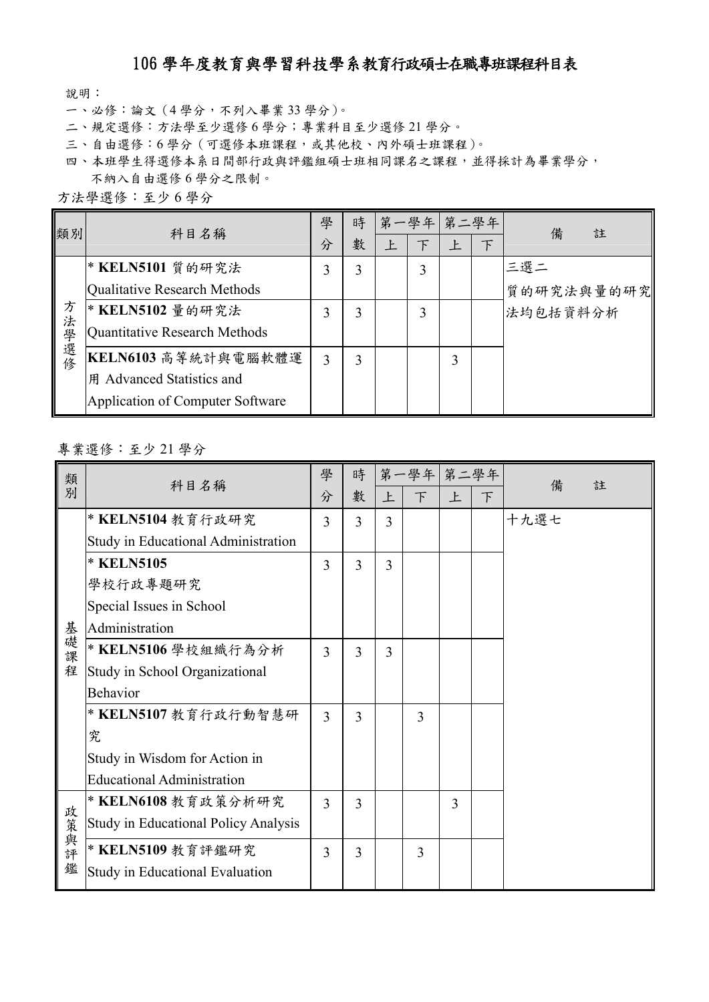## 106 學年度教育與學習科技學系教育行政碩士在職專班課程科目表

說明:

- 一、必修:論文(4 學分,不列入畢業 33 學分)。
- 二、規定選修:方法學至少選修 6 學分;專業科目至少選修 21 學分。
- 三、自由選修:6學分(可選修本班課程,或其他校、內外碩士班課程)。
- 四、本班學生得選修本系日間部行政與評鑑組碩士班相同課名之課程,並得採計為畢業學分, 不納入自由選修 6 學分之限制。

| 方法學選修:至少6學分 |  |  |
|-------------|--|--|
|             |  |  |

| 類別        | 科目名稱                             | 學 | 時 |   | 第一學年 第二學年 |   |        | 備<br>註     |
|-----------|----------------------------------|---|---|---|-----------|---|--------|------------|
|           |                                  | 分 | 數 | 上 | 下         | 上 | $\top$ |            |
|           | * KELN5101 質的研究法                 | 3 | 3 |   | 3         |   |        | 三選二        |
|           | Qualitative Research Methods     |   |   |   |           |   |        | 質的研究法與量的研究 |
| 方<br>法學選修 | * KELN5102 量的研究法                 | 3 | 3 |   | 3         |   |        | 法均包括資料分析   |
|           | Quantitative Research Methods    |   |   |   |           |   |        |            |
|           | KELN6103 高等統計與電腦軟體運              | 3 | 3 |   |           | 3 |        |            |
|           | 用 Advanced Statistics and        |   |   |   |           |   |        |            |
|           | Application of Computer Software |   |   |   |           |   |        |            |

## 專業選修:至少 21 學分

| 類<br>別   | 科目名稱                                        | 學              | 時 |   | 第一學年 第二學年 |   |   |        |
|----------|---------------------------------------------|----------------|---|---|-----------|---|---|--------|
|          |                                             | 分              | 數 | 上 | F         | 上 | F | 備<br>註 |
|          | * KELN5104 教育行政研究                           | 3              | 3 | 3 |           |   |   | 十九選七   |
|          | Study in Educational Administration         |                |   |   |           |   |   |        |
|          | * KELN5105                                  | $\overline{3}$ | 3 | 3 |           |   |   |        |
|          | 學校行政專題研究                                    |                |   |   |           |   |   |        |
|          | Special Issues in School                    |                |   |   |           |   |   |        |
|          | Administration                              |                |   |   |           |   |   |        |
| 基礎課      | * KELN5106 學校組織行為分析                         | 3              | 3 | 3 |           |   |   |        |
| 程        | Study in School Organizational              |                |   |   |           |   |   |        |
|          | <b>Behavior</b>                             |                |   |   |           |   |   |        |
|          | * KELN5107 教育行政行動智慧研                        | 3              | 3 |   | 3         |   |   |        |
|          | 究                                           |                |   |   |           |   |   |        |
|          | Study in Wisdom for Action in               |                |   |   |           |   |   |        |
|          | <b>Educational Administration</b>           |                |   |   |           |   |   |        |
| 政        | * KELN6108 教育政策分析研究                         | 3              | 3 |   |           | 3 |   |        |
|          | <b>Study in Educational Policy Analysis</b> |                |   |   |           |   |   |        |
| 美與評<br>鑑 | * KELN5109 教育評鑑研究                           | 3              | 3 |   | 3         |   |   |        |
|          | Study in Educational Evaluation             |                |   |   |           |   |   |        |